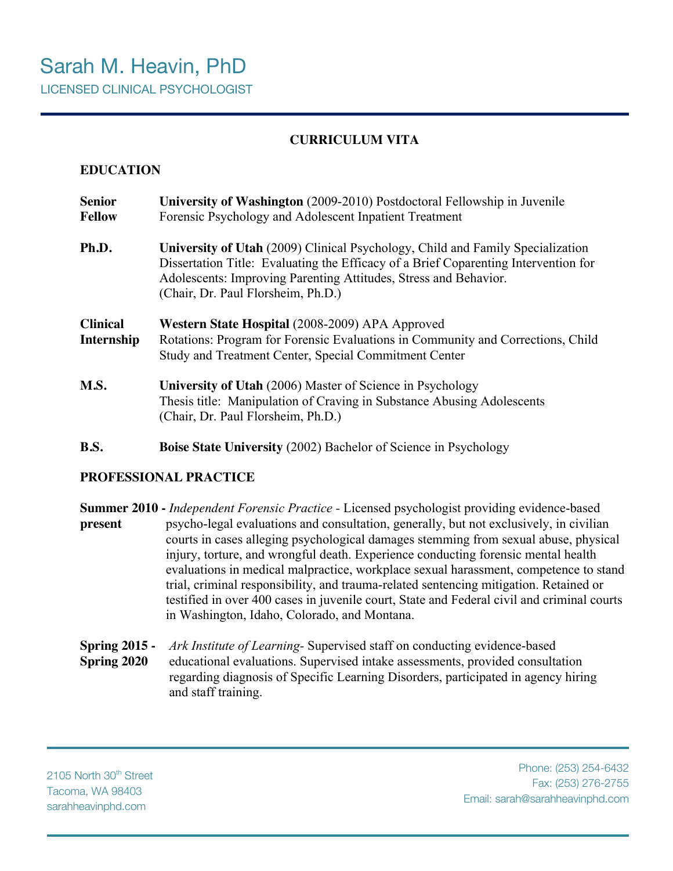# **CURRICULUM VITA**

# **EDUCATION**

| <b>Senior</b><br><b>Fellow</b> | University of Washington (2009-2010) Postdoctoral Fellowship in Juvenile<br>Forensic Psychology and Adolescent Inpatient Treatment                                                                                                                                              |  |
|--------------------------------|---------------------------------------------------------------------------------------------------------------------------------------------------------------------------------------------------------------------------------------------------------------------------------|--|
| Ph.D.                          | University of Utah (2009) Clinical Psychology, Child and Family Specialization<br>Dissertation Title: Evaluating the Efficacy of a Brief Coparenting Intervention for<br>Adolescents: Improving Parenting Attitudes, Stress and Behavior.<br>(Chair, Dr. Paul Florsheim, Ph.D.) |  |
| <b>Clinical</b>                | Western State Hospital (2008-2009) APA Approved                                                                                                                                                                                                                                 |  |
| Internship                     | Rotations: Program for Forensic Evaluations in Community and Corrections, Child                                                                                                                                                                                                 |  |
|                                | Study and Treatment Center, Special Commitment Center                                                                                                                                                                                                                           |  |

**B.S. Boise State University** (2002) Bachelor of Science in Psychology

## **PROFESSIONAL PRACTICE**

**Summer 2010 -** *Independent Forensic Practice -* Licensed psychologist providing evidence-based **present** psycho-legal evaluations and consultation, generally, but not exclusively, in civilian courts in cases alleging psychological damages stemming from sexual abuse, physical injury, torture, and wrongful death. Experience conducting forensic mental health evaluations in medical malpractice, workplace sexual harassment, competence to stand trial, criminal responsibility, and trauma-related sentencing mitigation. Retained or testified in over 400 cases in juvenile court, State and Federal civil and criminal courts in Washington, Idaho, Colorado, and Montana.

**Spring 2015 -** *Ark Institute of Learning-* Supervised staff on conducting evidence-based **Spring 2020** educational evaluations. Supervised intake assessments, provided consultation regarding diagnosis of Specific Learning Disorders, participated in agency hiring and staff training.

2105 North 30<sup>th</sup> Street Tacoma, WA 98403 sarahheavinphd.com

Phone: (253) 254-6432 Fax: (253) 276-2755 Email: sarah@sarahheavinphd.com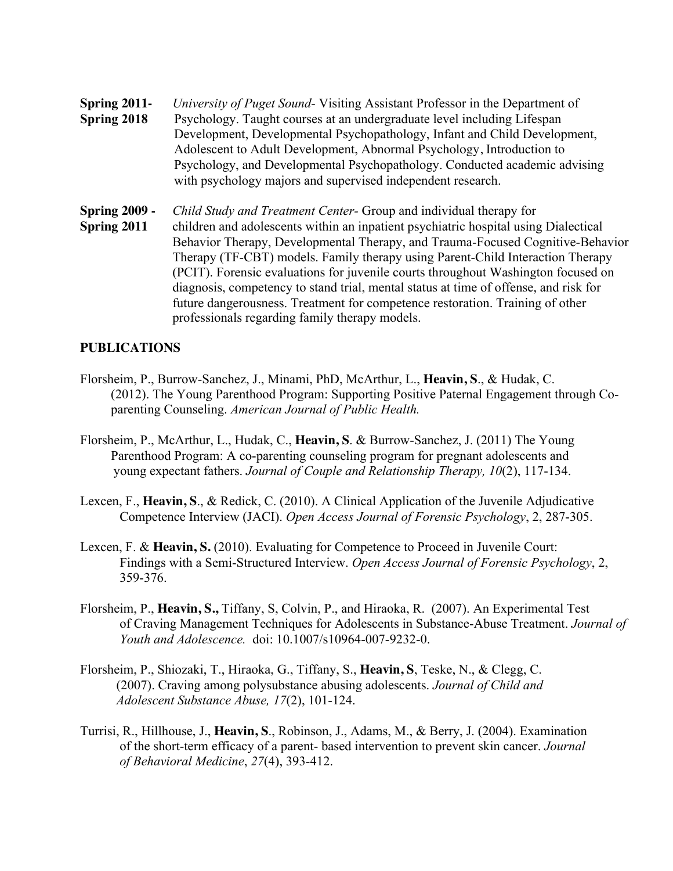**Spring 2011-** *University of Puget Sound-* Visiting Assistant Professor in the Department of **Spring 2018** Psychology. Taught courses at an undergraduate level including Lifespan Development, Developmental Psychopathology, Infant and Child Development, Adolescent to Adult Development, Abnormal Psychology, Introduction to Psychology, and Developmental Psychopathology. Conducted academic advising with psychology majors and supervised independent research.

**Spring 2009 -** *Child Study and Treatment Center-* Group and individual therapy for **Spring 2011** children and adolescents within an inpatient psychiatric hospital using Dialectical Behavior Therapy, Developmental Therapy, and Trauma-Focused Cognitive-Behavior Therapy (TF-CBT) models. Family therapy using Parent-Child Interaction Therapy (PCIT). Forensic evaluations for juvenile courts throughout Washington focused on diagnosis, competency to stand trial, mental status at time of offense, and risk for future dangerousness. Treatment for competence restoration. Training of other professionals regarding family therapy models.

## **PUBLICATIONS**

- Florsheim, P., Burrow-Sanchez, J., Minami, PhD, McArthur, L., **Heavin, S**., & Hudak, C. (2012). The Young Parenthood Program: Supporting Positive Paternal Engagement through Coparenting Counseling. *American Journal of Public Health.*
- Florsheim, P., McArthur, L., Hudak, C., **Heavin, S**. & Burrow-Sanchez, J. (2011) The Young Parenthood Program: A co-parenting counseling program for pregnant adolescents and young expectant fathers. *Journal of Couple and Relationship Therapy, 10*(2), 117-134.
- Lexcen, F., **Heavin, S**., & Redick, C. (2010). A Clinical Application of the Juvenile Adjudicative Competence Interview (JACI). *Open Access Journal of Forensic Psychology*, 2, 287-305.
- Lexcen, F. & **Heavin, S.** (2010). Evaluating for Competence to Proceed in Juvenile Court: Findings with a Semi-Structured Interview. *Open Access Journal of Forensic Psychology*, 2, 359-376.
- Florsheim, P., **Heavin, S.,** Tiffany, S, Colvin, P., and Hiraoka, R. (2007). An Experimental Test of Craving Management Techniques for Adolescents in Substance-Abuse Treatment. *Journal of Youth and Adolescence.* doi: 10.1007/s10964-007-9232-0.
- Florsheim, P., Shiozaki, T., Hiraoka, G., Tiffany, S., **Heavin, S**, Teske, N., & Clegg, C. (2007). Craving among polysubstance abusing adolescents. *Journal of Child and Adolescent Substance Abuse, 17*(2), 101-124.
- Turrisi, R., Hillhouse, J., **Heavin, S**., Robinson, J., Adams, M., & Berry, J. (2004). Examination of the short-term efficacy of a parent- based intervention to prevent skin cancer. *Journal of Behavioral Medicine*, *27*(4), 393-412.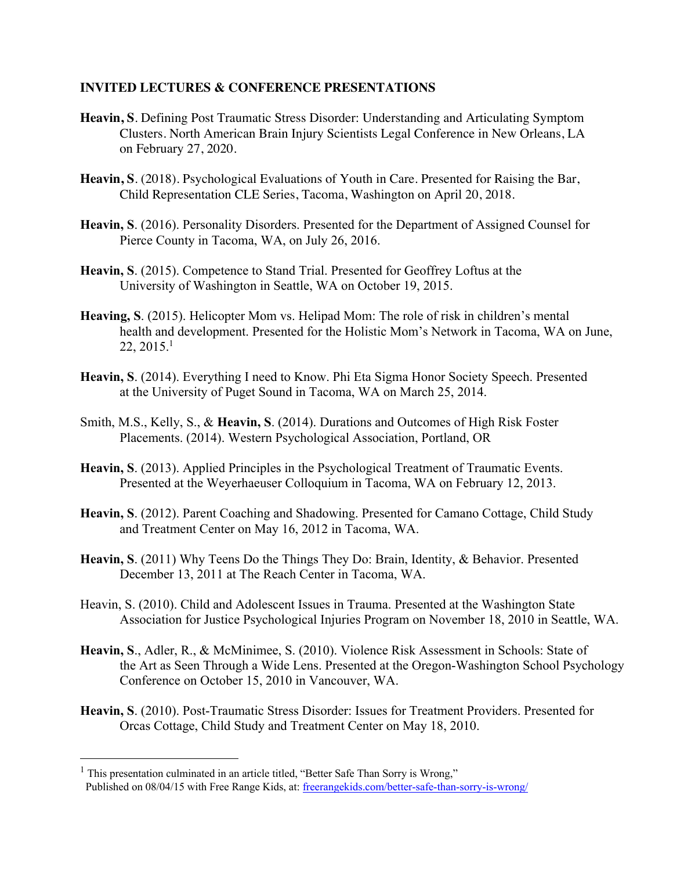#### **INVITED LECTURES & CONFERENCE PRESENTATIONS**

- **Heavin, S**. Defining Post Traumatic Stress Disorder: Understanding and Articulating Symptom Clusters. North American Brain Injury Scientists Legal Conference in New Orleans, LA on February 27, 2020.
- **Heavin, S**. (2018). Psychological Evaluations of Youth in Care. Presented for Raising the Bar, Child Representation CLE Series, Tacoma, Washington on April 20, 2018.
- **Heavin, S**. (2016). Personality Disorders. Presented for the Department of Assigned Counsel for Pierce County in Tacoma, WA, on July 26, 2016.
- **Heavin, S**. (2015). Competence to Stand Trial. Presented for Geoffrey Loftus at the University of Washington in Seattle, WA on October 19, 2015.
- **Heaving, S**. (2015). Helicopter Mom vs. Helipad Mom: The role of risk in children's mental health and development. Presented for the Holistic Mom's Network in Tacoma, WA on June, 22, 2015.1
- **Heavin, S**. (2014). Everything I need to Know. Phi Eta Sigma Honor Society Speech. Presented at the University of Puget Sound in Tacoma, WA on March 25, 2014.
- Smith, M.S., Kelly, S., & **Heavin, S**. (2014). Durations and Outcomes of High Risk Foster Placements. (2014). Western Psychological Association, Portland, OR
- **Heavin, S**. (2013). Applied Principles in the Psychological Treatment of Traumatic Events. Presented at the Weyerhaeuser Colloquium in Tacoma, WA on February 12, 2013.
- **Heavin, S**. (2012). Parent Coaching and Shadowing. Presented for Camano Cottage, Child Study and Treatment Center on May 16, 2012 in Tacoma, WA.
- **Heavin, S**. (2011) Why Teens Do the Things They Do: Brain, Identity, & Behavior. Presented December 13, 2011 at The Reach Center in Tacoma, WA.
- Heavin, S. (2010). Child and Adolescent Issues in Trauma. Presented at the Washington State Association for Justice Psychological Injuries Program on November 18, 2010 in Seattle, WA.
- **Heavin, S**., Adler, R., & McMinimee, S. (2010). Violence Risk Assessment in Schools: State of the Art as Seen Through a Wide Lens. Presented at the Oregon-Washington School Psychology Conference on October 15, 2010 in Vancouver, WA.
- **Heavin, S**. (2010). Post-Traumatic Stress Disorder: Issues for Treatment Providers. Presented for Orcas Cottage, Child Study and Treatment Center on May 18, 2010.

<sup>&</sup>lt;sup>1</sup> This presentation culminated in an article titled, "Better Safe Than Sorry is Wrong," Published on 08/04/15 with Free Range Kids, at: freerangekids.com/better-safe-than-sorry-is-wrong/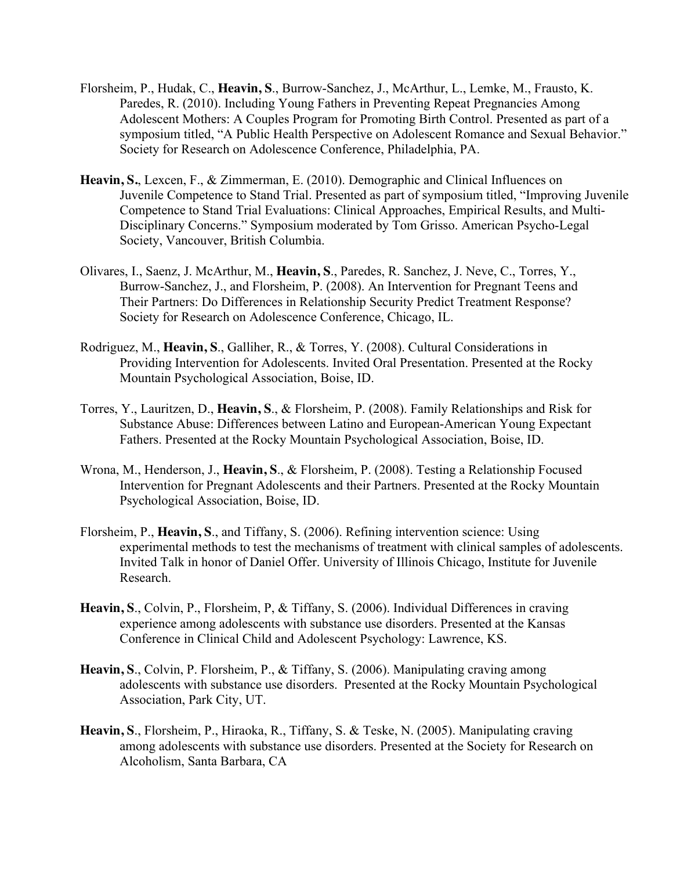- Florsheim, P., Hudak, C., **Heavin, S**., Burrow-Sanchez, J., McArthur, L., Lemke, M., Frausto, K. Paredes, R. (2010). Including Young Fathers in Preventing Repeat Pregnancies Among Adolescent Mothers: A Couples Program for Promoting Birth Control. Presented as part of a symposium titled, "A Public Health Perspective on Adolescent Romance and Sexual Behavior." Society for Research on Adolescence Conference, Philadelphia, PA.
- **Heavin, S.**, Lexcen, F., & Zimmerman, E. (2010). Demographic and Clinical Influences on Juvenile Competence to Stand Trial. Presented as part of symposium titled, "Improving Juvenile Competence to Stand Trial Evaluations: Clinical Approaches, Empirical Results, and Multi-Disciplinary Concerns." Symposium moderated by Tom Grisso. American Psycho-Legal Society, Vancouver, British Columbia.
- Olivares, I., Saenz, J. McArthur, M., **Heavin, S**., Paredes, R. Sanchez, J. Neve, C., Torres, Y., Burrow-Sanchez, J., and Florsheim, P. (2008). An Intervention for Pregnant Teens and Their Partners: Do Differences in Relationship Security Predict Treatment Response? Society for Research on Adolescence Conference, Chicago, IL.
- Rodriguez, M., **Heavin, S**., Galliher, R., & Torres, Y. (2008). Cultural Considerations in Providing Intervention for Adolescents. Invited Oral Presentation. Presented at the Rocky Mountain Psychological Association, Boise, ID.
- Torres, Y., Lauritzen, D., **Heavin, S**., & Florsheim, P. (2008). Family Relationships and Risk for Substance Abuse: Differences between Latino and European-American Young Expectant Fathers. Presented at the Rocky Mountain Psychological Association, Boise, ID.
- Wrona, M., Henderson, J., **Heavin, S**., & Florsheim, P. (2008). Testing a Relationship Focused Intervention for Pregnant Adolescents and their Partners. Presented at the Rocky Mountain Psychological Association, Boise, ID.
- Florsheim, P., **Heavin, S**., and Tiffany, S. (2006). Refining intervention science: Using experimental methods to test the mechanisms of treatment with clinical samples of adolescents. Invited Talk in honor of Daniel Offer. University of Illinois Chicago, Institute for Juvenile Research.
- **Heavin, S**., Colvin, P., Florsheim, P, & Tiffany, S. (2006). Individual Differences in craving experience among adolescents with substance use disorders. Presented at the Kansas Conference in Clinical Child and Adolescent Psychology: Lawrence, KS.
- **Heavin, S**., Colvin, P. Florsheim, P., & Tiffany, S. (2006). Manipulating craving among adolescents with substance use disorders. Presented at the Rocky Mountain Psychological Association, Park City, UT.
- **Heavin, S**., Florsheim, P., Hiraoka, R., Tiffany, S. & Teske, N. (2005). Manipulating craving among adolescents with substance use disorders. Presented at the Society for Research on Alcoholism, Santa Barbara, CA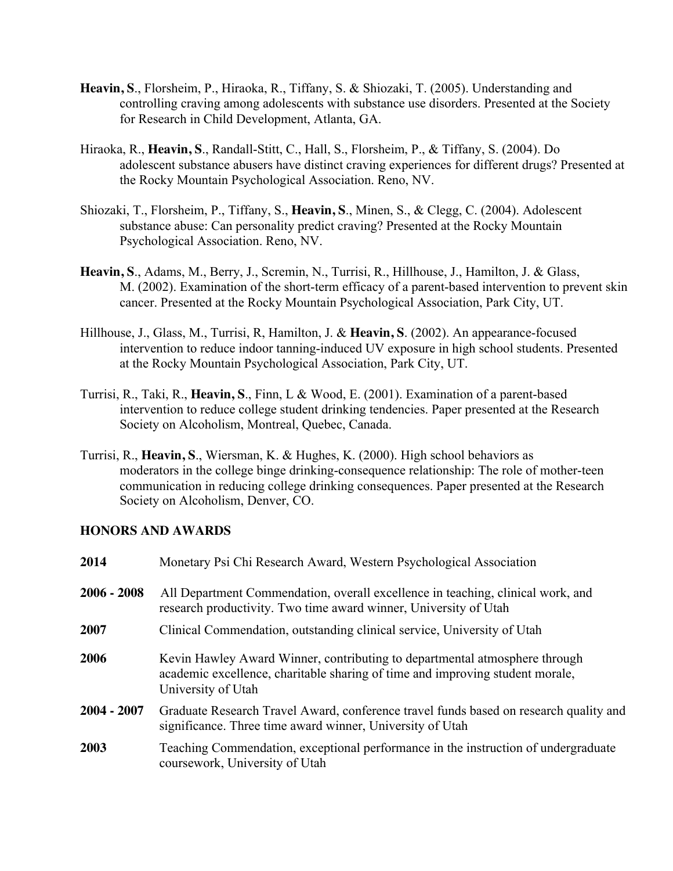- **Heavin, S**., Florsheim, P., Hiraoka, R., Tiffany, S. & Shiozaki, T. (2005). Understanding and controlling craving among adolescents with substance use disorders. Presented at the Society for Research in Child Development, Atlanta, GA.
- Hiraoka, R., **Heavin, S**., Randall-Stitt, C., Hall, S., Florsheim, P., & Tiffany, S. (2004). Do adolescent substance abusers have distinct craving experiences for different drugs? Presented at the Rocky Mountain Psychological Association. Reno, NV.
- Shiozaki, T., Florsheim, P., Tiffany, S., **Heavin, S**., Minen, S., & Clegg, C. (2004). Adolescent substance abuse: Can personality predict craving? Presented at the Rocky Mountain Psychological Association. Reno, NV.
- **Heavin, S**., Adams, M., Berry, J., Scremin, N., Turrisi, R., Hillhouse, J., Hamilton, J. & Glass, M. (2002). Examination of the short-term efficacy of a parent-based intervention to prevent skin cancer. Presented at the Rocky Mountain Psychological Association, Park City, UT.
- Hillhouse, J., Glass, M., Turrisi, R, Hamilton, J. & **Heavin, S**. (2002). An appearance-focused intervention to reduce indoor tanning-induced UV exposure in high school students. Presented at the Rocky Mountain Psychological Association, Park City, UT.
- Turrisi, R., Taki, R., **Heavin, S**., Finn, L & Wood, E. (2001). Examination of a parent-based intervention to reduce college student drinking tendencies. Paper presented at the Research Society on Alcoholism, Montreal, Quebec, Canada.
- Turrisi, R., **Heavin, S**., Wiersman, K. & Hughes, K. (2000). High school behaviors as moderators in the college binge drinking-consequence relationship: The role of mother-teen communication in reducing college drinking consequences. Paper presented at the Research Society on Alcoholism, Denver, CO.

## **HONORS AND AWARDS**

| 2014          | Monetary Psi Chi Research Award, Western Psychological Association                                                                                                                |  |
|---------------|-----------------------------------------------------------------------------------------------------------------------------------------------------------------------------------|--|
| $2006 - 2008$ | All Department Commendation, overall excellence in teaching, clinical work, and<br>research productivity. Two time award winner, University of Utah                               |  |
| 2007          | Clinical Commendation, outstanding clinical service, University of Utah                                                                                                           |  |
| 2006          | Kevin Hawley Award Winner, contributing to departmental atmosphere through<br>academic excellence, charitable sharing of time and improving student morale,<br>University of Utah |  |
| $2004 - 2007$ | Graduate Research Travel Award, conference travel funds based on research quality and<br>significance. Three time award winner, University of Utah                                |  |
| 2003          | Teaching Commendation, exceptional performance in the instruction of undergraduate<br>coursework, University of Utah                                                              |  |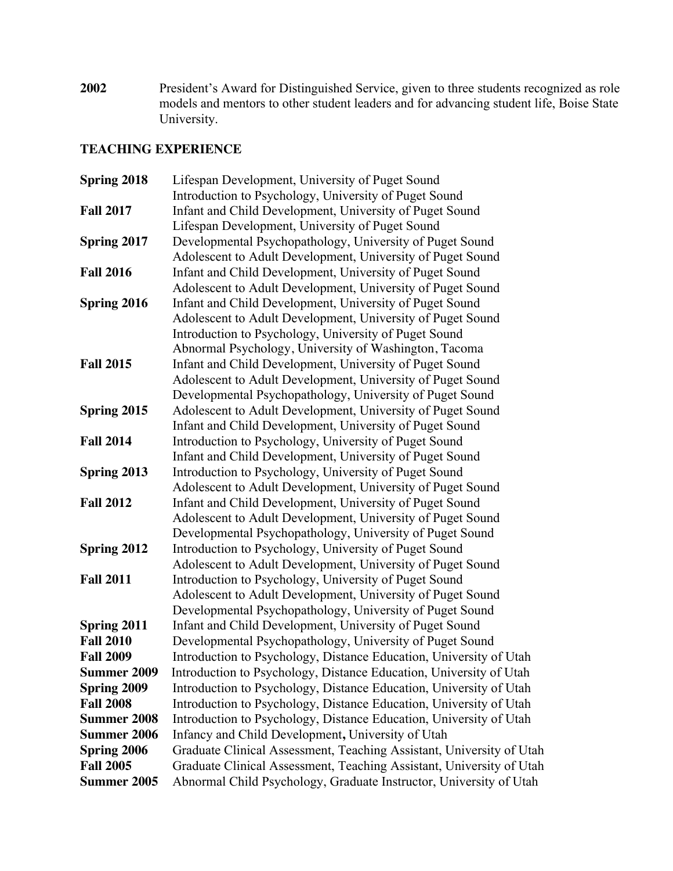**2002** President's Award for Distinguished Service, given to three students recognized as role models and mentors to other student leaders and for advancing student life, Boise State University.

## **TEACHING EXPERIENCE**

| Spring 2018        | Lifespan Development, University of Puget Sound                      |  |
|--------------------|----------------------------------------------------------------------|--|
|                    | Introduction to Psychology, University of Puget Sound                |  |
| <b>Fall 2017</b>   | Infant and Child Development, University of Puget Sound              |  |
|                    | Lifespan Development, University of Puget Sound                      |  |
| Spring 2017        | Developmental Psychopathology, University of Puget Sound             |  |
|                    | Adolescent to Adult Development, University of Puget Sound           |  |
| <b>Fall 2016</b>   | Infant and Child Development, University of Puget Sound              |  |
|                    | Adolescent to Adult Development, University of Puget Sound           |  |
| Spring 2016        | Infant and Child Development, University of Puget Sound              |  |
|                    | Adolescent to Adult Development, University of Puget Sound           |  |
|                    | Introduction to Psychology, University of Puget Sound                |  |
|                    | Abnormal Psychology, University of Washington, Tacoma                |  |
| <b>Fall 2015</b>   | Infant and Child Development, University of Puget Sound              |  |
|                    | Adolescent to Adult Development, University of Puget Sound           |  |
|                    | Developmental Psychopathology, University of Puget Sound             |  |
| Spring 2015        | Adolescent to Adult Development, University of Puget Sound           |  |
|                    | Infant and Child Development, University of Puget Sound              |  |
| <b>Fall 2014</b>   | Introduction to Psychology, University of Puget Sound                |  |
|                    | Infant and Child Development, University of Puget Sound              |  |
| Spring 2013        | Introduction to Psychology, University of Puget Sound                |  |
|                    | Adolescent to Adult Development, University of Puget Sound           |  |
| <b>Fall 2012</b>   | Infant and Child Development, University of Puget Sound              |  |
|                    | Adolescent to Adult Development, University of Puget Sound           |  |
|                    | Developmental Psychopathology, University of Puget Sound             |  |
| Spring 2012        | Introduction to Psychology, University of Puget Sound                |  |
|                    | Adolescent to Adult Development, University of Puget Sound           |  |
| <b>Fall 2011</b>   | Introduction to Psychology, University of Puget Sound                |  |
|                    | Adolescent to Adult Development, University of Puget Sound           |  |
|                    | Developmental Psychopathology, University of Puget Sound             |  |
| Spring 2011        | Infant and Child Development, University of Puget Sound              |  |
| <b>Fall 2010</b>   | Developmental Psychopathology, University of Puget Sound             |  |
| <b>Fall 2009</b>   | Introduction to Psychology, Distance Education, University of Utah   |  |
| <b>Summer 2009</b> | Introduction to Psychology, Distance Education, University of Utah   |  |
| <b>Spring 2009</b> | Introduction to Psychology, Distance Education, University of Utah   |  |
| <b>Fall 2008</b>   | Introduction to Psychology, Distance Education, University of Utah   |  |
| <b>Summer 2008</b> | Introduction to Psychology, Distance Education, University of Utah   |  |
| <b>Summer 2006</b> | Infancy and Child Development, University of Utah                    |  |
| <b>Spring 2006</b> | Graduate Clinical Assessment, Teaching Assistant, University of Utah |  |
| <b>Fall 2005</b>   | Graduate Clinical Assessment, Teaching Assistant, University of Utah |  |
| <b>Summer 2005</b> | Abnormal Child Psychology, Graduate Instructor, University of Utah   |  |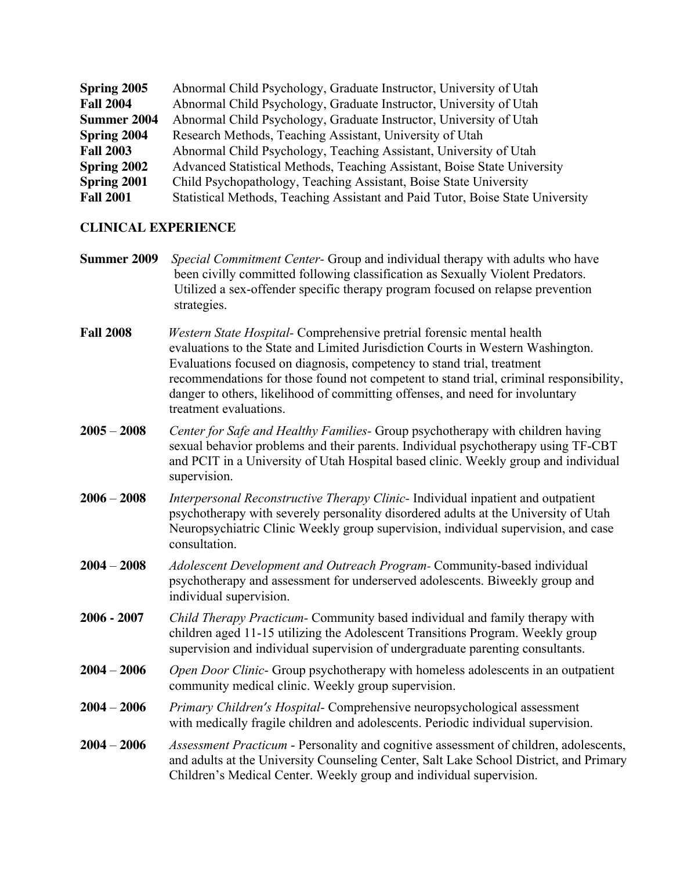| Spring 2005        | Abnormal Child Psychology, Graduate Instructor, University of Utah             |  |
|--------------------|--------------------------------------------------------------------------------|--|
| <b>Fall 2004</b>   | Abnormal Child Psychology, Graduate Instructor, University of Utah             |  |
| Summer 2004        | Abnormal Child Psychology, Graduate Instructor, University of Utah             |  |
| <b>Spring 2004</b> | Research Methods, Teaching Assistant, University of Utah                       |  |
| <b>Fall 2003</b>   | Abnormal Child Psychology, Teaching Assistant, University of Utah              |  |
| Spring 2002        | Advanced Statistical Methods, Teaching Assistant, Boise State University       |  |
| Spring 2001        | Child Psychopathology, Teaching Assistant, Boise State University              |  |
| <b>Fall 2001</b>   | Statistical Methods, Teaching Assistant and Paid Tutor, Boise State University |  |

## **CLINICAL EXPERIENCE**

- **Summer 2009** *Special Commitment Center-* Group and individual therapy with adults who have been civilly committed following classification as Sexually Violent Predators. Utilized a sex-offender specific therapy program focused on relapse prevention strategies.
- **Fall 2008** *Western State Hospital-* Comprehensive pretrial forensic mental health evaluations to the State and Limited Jurisdiction Courts in Western Washington. Evaluations focused on diagnosis, competency to stand trial, treatment recommendations for those found not competent to stand trial, criminal responsibility, danger to others, likelihood of committing offenses, and need for involuntary treatment evaluations.
- **2005 2008** *Center for Safe and Healthy Families-* Group psychotherapy with children having sexual behavior problems and their parents. Individual psychotherapy using TF-CBT and PCIT in a University of Utah Hospital based clinic. Weekly group and individual supervision.
- **2006 2008** *Interpersonal Reconstructive Therapy Clinic-* Individual inpatient and outpatient psychotherapy with severely personality disordered adults at the University of Utah Neuropsychiatric Clinic Weekly group supervision, individual supervision, and case consultation.
- **2004 2008** *Adolescent Development and Outreach Program-* Community-based individual psychotherapy and assessment for underserved adolescents. Biweekly group and individual supervision.
- **2006 - 2007** *Child Therapy Practicum-* Community based individual and family therapy with children aged 11-15 utilizing the Adolescent Transitions Program. Weekly group supervision and individual supervision of undergraduate parenting consultants.
- **2004 2006** *Open Door Clinic-* Group psychotherapy with homeless adolescents in an outpatient community medical clinic. Weekly group supervision.
- **2004 2006** *Primary Children's Hospital-* Comprehensive neuropsychological assessment with medically fragile children and adolescents. Periodic individual supervision.
- **2004 2006** *Assessment Practicum* Personality and cognitive assessment of children, adolescents, and adults at the University Counseling Center, Salt Lake School District, and Primary Children's Medical Center. Weekly group and individual supervision.